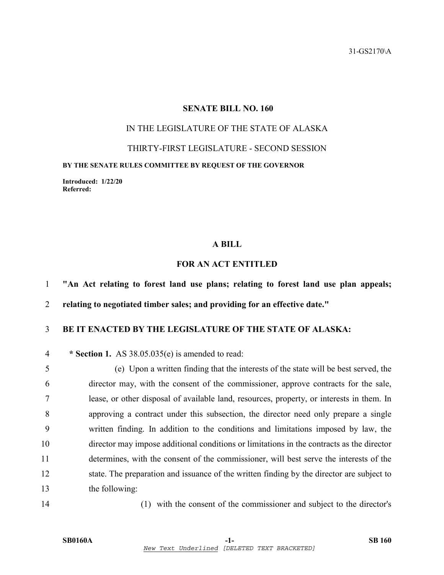### **SENATE BILL NO. 160**

# IN THE LEGISLATURE OF THE STATE OF ALASKA

THIRTY-FIRST LEGISLATURE - SECOND SESSION

#### **BY THE SENATE RULES COMMITTEE BY REQUEST OF THE GOVERNOR**

**Introduced: 1/22/20 Referred:** 

#### **A BILL**

# **FOR AN ACT ENTITLED**

1 **"An Act relating to forest land use plans; relating to forest land use plan appeals;** 

2 **relating to negotiated timber sales; and providing for an effective date."** 

## 3 **BE IT ENACTED BY THE LEGISLATURE OF THE STATE OF ALASKA:**

4 **\* Section 1.** AS 38.05.035(e) is amended to read:

5 (e) Upon a written finding that the interests of the state will be best served, the 6 director may, with the consent of the commissioner, approve contracts for the sale, 7 lease, or other disposal of available land, resources, property, or interests in them. In 8 approving a contract under this subsection, the director need only prepare a single 9 written finding. In addition to the conditions and limitations imposed by law, the 10 director may impose additional conditions or limitations in the contracts as the director 11 determines, with the consent of the commissioner, will best serve the interests of the 12 state. The preparation and issuance of the written finding by the director are subject to 13 the following:

14 (1) with the consent of the commissioner and subject to the director's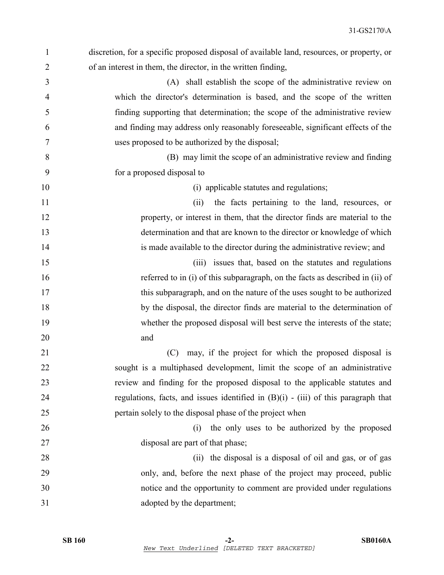| discretion, for a specific proposed disposal of available land, resources, or property, or |
|--------------------------------------------------------------------------------------------|
| of an interest in them, the director, in the written finding,                              |
| (A) shall establish the scope of the administrative review on                              |
| which the director's determination is based, and the scope of the written                  |
| finding supporting that determination; the scope of the administrative review              |
| and finding may address only reasonably foreseeable, significant effects of the            |
| uses proposed to be authorized by the disposal;                                            |
| (B) may limit the scope of an administrative review and finding                            |
| for a proposed disposal to                                                                 |
| (i) applicable statutes and regulations;                                                   |
| the facts pertaining to the land, resources, or<br>(ii)                                    |
| property, or interest in them, that the director finds are material to the                 |
| determination and that are known to the director or knowledge of which                     |
| is made available to the director during the administrative review; and                    |
| (iii) issues that, based on the statutes and regulations                                   |
| referred to in (i) of this subparagraph, on the facts as described in (ii) of              |
| this subparagraph, and on the nature of the uses sought to be authorized                   |
| by the disposal, the director finds are material to the determination of                   |
| whether the proposed disposal will best serve the interests of the state;                  |
| and                                                                                        |
| may, if the project for which the proposed disposal is<br>(C)                              |
| sought is a multiphased development, limit the scope of an administrative                  |
| review and finding for the proposed disposal to the applicable statutes and                |
| regulations, facts, and issues identified in $(B)(i)$ - (iii) of this paragraph that       |
| pertain solely to the disposal phase of the project when                                   |
| the only uses to be authorized by the proposed<br>(i)                                      |
| disposal are part of that phase;                                                           |
| (ii) the disposal is a disposal of oil and gas, or of gas                                  |
| only, and, before the next phase of the project may proceed, public                        |
| notice and the opportunity to comment are provided under regulations                       |
| adopted by the department;                                                                 |
|                                                                                            |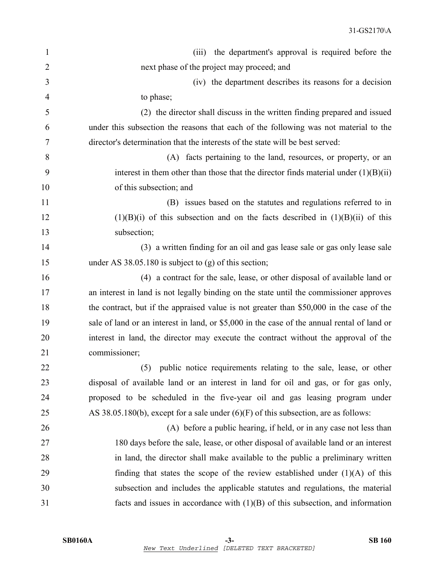| $\mathbf{1}$   | the department's approval is required before the<br>(iii)                                   |
|----------------|---------------------------------------------------------------------------------------------|
| $\overline{2}$ | next phase of the project may proceed; and                                                  |
| 3              | (iv) the department describes its reasons for a decision                                    |
| 4              | to phase;                                                                                   |
| 5              | (2) the director shall discuss in the written finding prepared and issued                   |
| 6              | under this subsection the reasons that each of the following was not material to the        |
| 7              | director's determination that the interests of the state will be best served:               |
| 8              | (A) facts pertaining to the land, resources, or property, or an                             |
| 9              | interest in them other than those that the director finds material under $(1)(B)(ii)$       |
| 10             | of this subsection; and                                                                     |
| 11             | (B) issues based on the statutes and regulations referred to in                             |
| 12             | $(1)(B)(i)$ of this subsection and on the facts described in $(1)(B)(ii)$ of this           |
| 13             | subsection;                                                                                 |
| 14             | (3) a written finding for an oil and gas lease sale or gas only lease sale                  |
| 15             | under AS $38.05.180$ is subject to (g) of this section;                                     |
| 16             | (4) a contract for the sale, lease, or other disposal of available land or                  |
| 17             | an interest in land is not legally binding on the state until the commissioner approves     |
| 18             | the contract, but if the appraised value is not greater than \$50,000 in the case of the    |
| 19             | sale of land or an interest in land, or \$5,000 in the case of the annual rental of land or |
| 20             | interest in land, the director may execute the contract without the approval of the         |
| 21             | commissioner;                                                                               |
| 22             | (5) public notice requirements relating to the sale, lease, or other                        |
| 23             | disposal of available land or an interest in land for oil and gas, or for gas only,         |
| 24             | proposed to be scheduled in the five-year oil and gas leasing program under                 |
| 25             | AS 38.05.180(b), except for a sale under $(6)(F)$ of this subsection, are as follows:       |
| 26             | (A) before a public hearing, if held, or in any case not less than                          |
| 27             | 180 days before the sale, lease, or other disposal of available land or an interest         |
| 28             | in land, the director shall make available to the public a preliminary written              |
| 29             | finding that states the scope of the review established under $(1)(A)$ of this              |
| 30             | subsection and includes the applicable statutes and regulations, the material               |
| 31             | facts and issues in accordance with $(1)(B)$ of this subsection, and information            |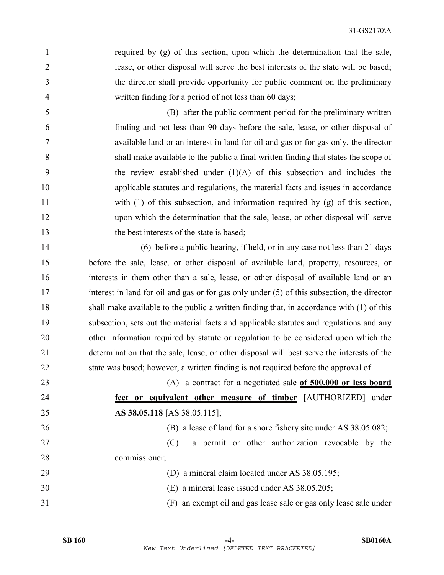1 required by (g) of this section, upon which the determination that the sale, 2 lease, or other disposal will serve the best interests of the state will be based; 3 the director shall provide opportunity for public comment on the preliminary 4 written finding for a period of not less than 60 days;

5 (B) after the public comment period for the preliminary written 6 finding and not less than 90 days before the sale, lease, or other disposal of 7 available land or an interest in land for oil and gas or for gas only, the director 8 shall make available to the public a final written finding that states the scope of 9 the review established under (1)(A) of this subsection and includes the 10 applicable statutes and regulations, the material facts and issues in accordance 11 with (1) of this subsection, and information required by (g) of this section, 12 upon which the determination that the sale, lease, or other disposal will serve 13 the best interests of the state is based:

14 (6) before a public hearing, if held, or in any case not less than 21 days 15 before the sale, lease, or other disposal of available land, property, resources, or 16 interests in them other than a sale, lease, or other disposal of available land or an 17 interest in land for oil and gas or for gas only under (5) of this subsection, the director 18 shall make available to the public a written finding that, in accordance with (1) of this 19 subsection, sets out the material facts and applicable statutes and regulations and any 20 other information required by statute or regulation to be considered upon which the 21 determination that the sale, lease, or other disposal will best serve the interests of the 22 state was based; however, a written finding is not required before the approval of

23 (A) a contract for a negotiated sale **of 500,000 or less board**  24 **feet or equivalent other measure of timber** [AUTHORIZED] under 25 **AS 38.05.118** [AS 38.05.115];

26 (B) a lease of land for a shore fishery site under AS 38.05.082;

27 (C) a permit or other authorization revocable by the 28 commissioner;

- 29 (D) a mineral claim located under AS 38.05.195;
- 30 (E) a mineral lease issued under AS 38.05.205;
- 31 (F) an exempt oil and gas lease sale or gas only lease sale under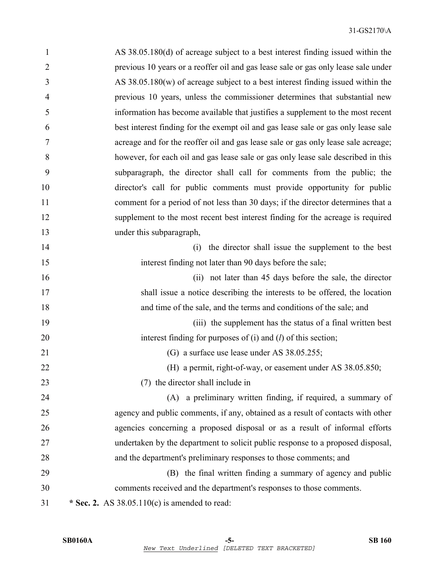| 1              | AS 38.05.180(d) of acreage subject to a best interest finding issued within the    |
|----------------|------------------------------------------------------------------------------------|
| $\overline{2}$ | previous 10 years or a reoffer oil and gas lease sale or gas only lease sale under |
| 3              | AS $38.05.180(w)$ of acreage subject to a best interest finding issued within the  |
| 4              | previous 10 years, unless the commissioner determines that substantial new         |
| 5              | information has become available that justifies a supplement to the most recent    |
| 6              | best interest finding for the exempt oil and gas lease sale or gas only lease sale |
| 7              | acreage and for the reoffer oil and gas lease sale or gas only lease sale acreage; |
| 8              | however, for each oil and gas lease sale or gas only lease sale described in this  |
| 9              | subparagraph, the director shall call for comments from the public; the            |
| 10             | director's call for public comments must provide opportunity for public            |
| 11             | comment for a period of not less than 30 days; if the director determines that a   |
| 12             | supplement to the most recent best interest finding for the acreage is required    |
| 13             | under this subparagraph,                                                           |
| 14             | the director shall issue the supplement to the best<br>(i)                         |
| 15             | interest finding not later than 90 days before the sale;                           |
| 16             | (ii) not later than 45 days before the sale, the director                          |
| 17             | shall issue a notice describing the interests to be offered, the location          |
| 18             | and time of the sale, and the terms and conditions of the sale; and                |
| 19             | (iii) the supplement has the status of a final written best                        |
| 20             | interest finding for purposes of $(i)$ and $(l)$ of this section;                  |
| 21             | (G) a surface use lease under AS 38.05.255;                                        |
| 22             | (H) a permit, right-of-way, or easement under AS 38.05.850;                        |
| 23             | (7) the director shall include in                                                  |
| 24             | (A) a preliminary written finding, if required, a summary of                       |
| 25             | agency and public comments, if any, obtained as a result of contacts with other    |
| 26             | agencies concerning a proposed disposal or as a result of informal efforts         |
| 27             | undertaken by the department to solicit public response to a proposed disposal,    |
| 28             | and the department's preliminary responses to those comments; and                  |
| 29             | (B) the final written finding a summary of agency and public                       |
| 30             | comments received and the department's responses to those comments.                |
| 31             | * Sec. 2. AS $38.05.110(c)$ is amended to read:                                    |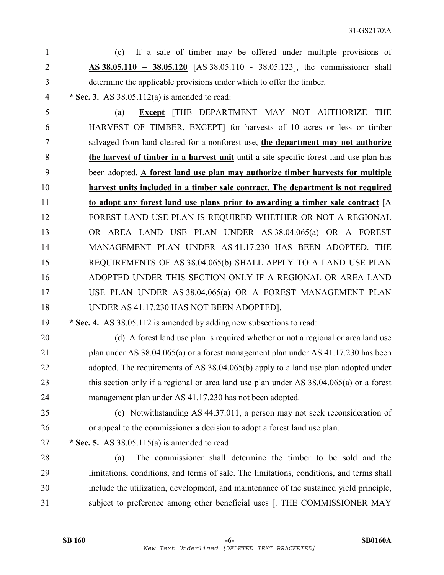1 (c) If a sale of timber may be offered under multiple provisions of 2 **AS 38.05.110 – 38.05.120** [AS 38.05.110 - 38.05.123], the commissioner shall 3 determine the applicable provisions under which to offer the timber.

4 **\* Sec. 3.** AS 38.05.112(a) is amended to read:

5 (a) **Except** [THE DEPARTMENT MAY NOT AUTHORIZE THE 6 HARVEST OF TIMBER, EXCEPT] for harvests of 10 acres or less or timber 7 salvaged from land cleared for a nonforest use, **the department may not authorize**  8 **the harvest of timber in a harvest unit** until a site-specific forest land use plan has 9 been adopted. **A forest land use plan may authorize timber harvests for multiple**  10 **harvest units included in a timber sale contract. The department is not required**  11 **to adopt any forest land use plans prior to awarding a timber sale contract** [A 12 FOREST LAND USE PLAN IS REQUIRED WHETHER OR NOT A REGIONAL 13 OR AREA LAND USE PLAN UNDER AS 38.04.065(a) OR A FOREST 14 MANAGEMENT PLAN UNDER AS 41.17.230 HAS BEEN ADOPTED. THE 15 REQUIREMENTS OF AS 38.04.065(b) SHALL APPLY TO A LAND USE PLAN 16 ADOPTED UNDER THIS SECTION ONLY IF A REGIONAL OR AREA LAND 17 USE PLAN UNDER AS 38.04.065(a) OR A FOREST MANAGEMENT PLAN 18 UNDER AS 41.17.230 HAS NOT BEEN ADOPTED].

- 19 **\* Sec. 4.** AS 38.05.112 is amended by adding new subsections to read:
- 20 (d) A forest land use plan is required whether or not a regional or area land use 21 plan under AS 38.04.065(a) or a forest management plan under AS 41.17.230 has been 22 adopted. The requirements of AS 38.04.065(b) apply to a land use plan adopted under 23 this section only if a regional or area land use plan under AS 38.04.065(a) or a forest 24 management plan under AS 41.17.230 has not been adopted.
	-

25 (e) Notwithstanding AS 44.37.011, a person may not seek reconsideration of 26 or appeal to the commissioner a decision to adopt a forest land use plan.

27 **\* Sec. 5.** AS 38.05.115(a) is amended to read:

28 (a) The commissioner shall determine the timber to be sold and the 29 limitations, conditions, and terms of sale. The limitations, conditions, and terms shall 30 include the utilization, development, and maintenance of the sustained yield principle, 31 subject to preference among other beneficial uses [. THE COMMISSIONER MAY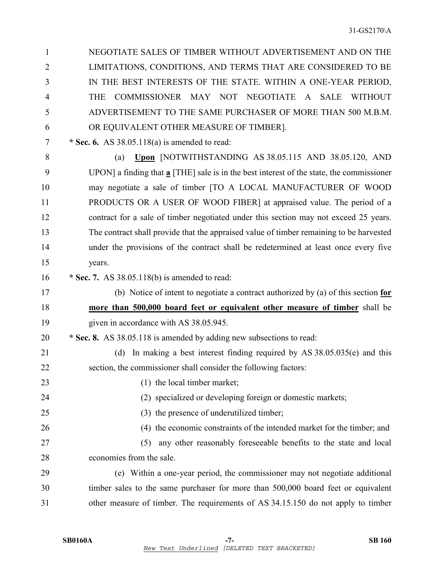| 1              | NEGOTIATE SALES OF TIMBER WITHOUT ADVERTISEMENT AND ON THE                                             |
|----------------|--------------------------------------------------------------------------------------------------------|
| $\overline{2}$ | LIMITATIONS, CONDITIONS, AND TERMS THAT ARE CONSIDERED TO BE                                           |
| 3              | IN THE BEST INTERESTS OF THE STATE. WITHIN A ONE-YEAR PERIOD,                                          |
| 4              | COMMISSIONER MAY NOT NEGOTIATE A SALE<br><b>WITHOUT</b><br><b>THE</b>                                  |
| 5              | ADVERTISEMENT TO THE SAME PURCHASER OF MORE THAN 500 M.B.M.                                            |
| 6              | OR EQUIVALENT OTHER MEASURE OF TIMBER].                                                                |
| 7              | * Sec. 6. AS $38.05.118(a)$ is amended to read:                                                        |
| 8              | Upon [NOTWITHSTANDING AS 38.05.115 AND 38.05.120, AND<br>(a)                                           |
| 9              | UPON] a finding that $\underline{a}$ [THE] sale is in the best interest of the state, the commissioner |
| 10             | may negotiate a sale of timber [TO A LOCAL MANUFACTURER OF WOOD                                        |
| 11             | PRODUCTS OR A USER OF WOOD FIBER] at appraised value. The period of a                                  |
| 12             | contract for a sale of timber negotiated under this section may not exceed 25 years.                   |
| 13             | The contract shall provide that the appraised value of timber remaining to be harvested                |
| 14             | under the provisions of the contract shall be redetermined at least once every five                    |
| 15             | years.                                                                                                 |
| 16             | * Sec. 7. AS $38.05.118(b)$ is amended to read:                                                        |
| 17             | (b) Notice of intent to negotiate a contract authorized by (a) of this section $f$ or                  |
| 18             | more than 500,000 board feet or equivalent other measure of timber shall be                            |
| 19             | given in accordance with AS 38.05.945.                                                                 |
| 20             | * Sec. 8. AS 38.05.118 is amended by adding new subsections to read:                                   |
| 21             | In making a best interest finding required by AS $38.05.035(e)$ and this<br>(d)                        |
| 22             | section, the commissioner shall consider the following factors:                                        |
| 23             | (1) the local timber market;                                                                           |
| 24             | (2) specialized or developing foreign or domestic markets;                                             |
| 25             | (3) the presence of underutilized timber;                                                              |
| 26             | (4) the economic constraints of the intended market for the timber; and                                |
| 27             | any other reasonably foreseeable benefits to the state and local<br>(5)                                |
| 28             | economies from the sale.                                                                               |
| 29             | (e) Within a one-year period, the commissioner may not negotiate additional                            |
| 30             | timber sales to the same purchaser for more than 500,000 board feet or equivalent                      |
| 31             | other measure of timber. The requirements of AS 34.15.150 do not apply to timber                       |